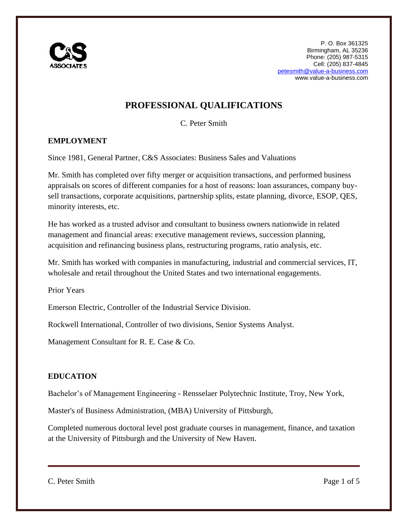

# **PROFESSIONAL QUALIFICATIONS**

C. Peter Smith

## **EMPLOYMENT**

Since 1981, General Partner, C&S Associates: Business Sales and Valuations

Mr. Smith has completed over fifty merger or acquisition transactions, and performed business appraisals on scores of different companies for a host of reasons: loan assurances, company buysell transactions, corporate acquisitions, partnership splits, estate planning, divorce, ESOP, QES, minority interests, etc.

He has worked as a trusted advisor and consultant to business owners nationwide in related management and financial areas: executive management reviews, succession planning, acquisition and refinancing business plans, restructuring programs, ratio analysis, etc.

Mr. Smith has worked with companies in manufacturing, industrial and commercial services, IT, wholesale and retail throughout the United States and two international engagements.

Prior Years

Emerson Electric, Controller of the Industrial Service Division.

Rockwell International, Controller of two divisions, Senior Systems Analyst.

Management Consultant for R. E. Case & Co.

#### **EDUCATION**

Bachelor's of Management Engineering - Rensselaer Polytechnic Institute, Troy, New York,

Master's of Business Administration, (MBA) University of Pittsburgh,

Completed numerous doctoral level post graduate courses in management, finance, and taxation at the University of Pittsburgh and the University of New Haven.

C. Peter Smith Page 1 of 5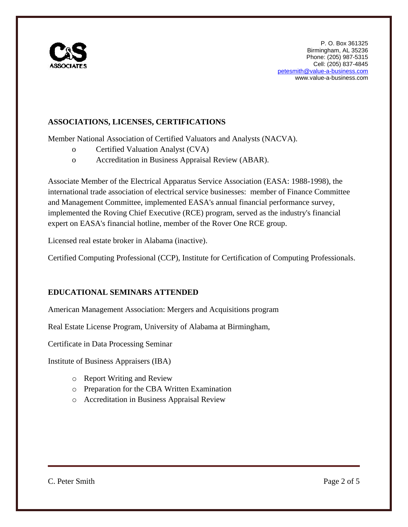

## **ASSOCIATIONS, LICENSES, CERTIFICATIONS**

Member National Association of Certified Valuators and Analysts (NACVA).

- o Certified Valuation Analyst (CVA)
- o Accreditation in Business Appraisal Review (ABAR).

Associate Member of the Electrical Apparatus Service Association (EASA: 1988-1998), the international trade association of electrical service businesses: member of Finance Committee and Management Committee, implemented EASA's annual financial performance survey, implemented the Roving Chief Executive (RCE) program, served as the industry's financial expert on EASA's financial hotline, member of the Rover One RCE group.

Licensed real estate broker in Alabama (inactive).

Certified Computing Professional (CCP), Institute for Certification of Computing Professionals.

#### **EDUCATIONAL SEMINARS ATTENDED**

American Management Association: Mergers and Acquisitions program

Real Estate License Program, University of Alabama at Birmingham,

Certificate in Data Processing Seminar

Institute of Business Appraisers (IBA)

- o Report Writing and Review
- o Preparation for the CBA Written Examination
- o Accreditation in Business Appraisal Review

C. Peter Smith Page 2 of 5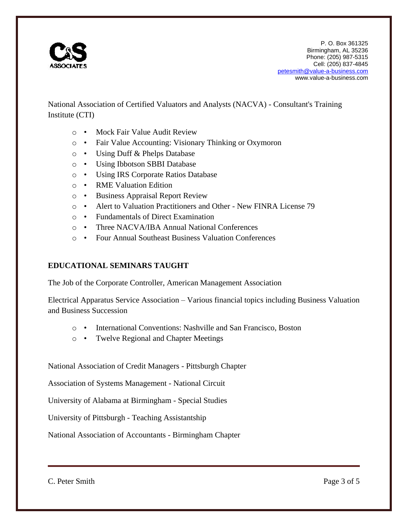

National Association of Certified Valuators and Analysts (NACVA) - Consultant's Training Institute (CTI)

- o Mock Fair Value Audit Review
- o Fair Value Accounting: Visionary Thinking or Oxymoron
- o Using Duff & Phelps Database
- o Using Ibbotson SBBI Database
- o Using IRS Corporate Ratios Database
- o RME Valuation Edition
- o Business Appraisal Report Review
- o Alert to Valuation Practitioners and Other New FINRA License 79
- o Fundamentals of Direct Examination
- o Three NACVA/IBA Annual National Conferences
- o Four Annual Southeast Business Valuation Conferences

#### **EDUCATIONAL SEMINARS TAUGHT**

The Job of the Corporate Controller, American Management Association

Electrical Apparatus Service Association – Various financial topics including Business Valuation and Business Succession

- o International Conventions: Nashville and San Francisco, Boston
- o Twelve Regional and Chapter Meetings

National Association of Credit Managers - Pittsburgh Chapter

Association of Systems Management - National Circuit

University of Alabama at Birmingham - Special Studies

University of Pittsburgh - Teaching Assistantship

National Association of Accountants - Birmingham Chapter

C. Peter Smith Page 3 of 5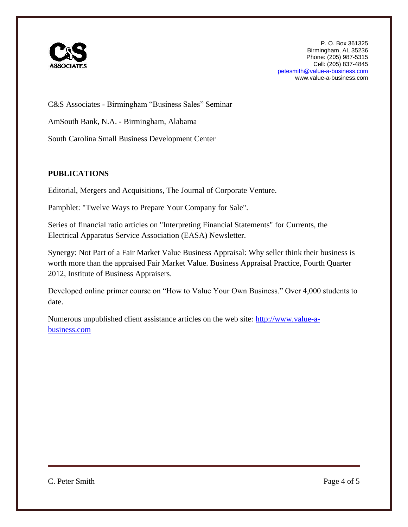

C&S Associates - Birmingham "Business Sales" Seminar AmSouth Bank, N.A. - Birmingham, Alabama South Carolina Small Business Development Center

## **PUBLICATIONS**

Editorial, Mergers and Acquisitions, The Journal of Corporate Venture.

Pamphlet: "Twelve Ways to Prepare Your Company for Sale".

Series of financial ratio articles on "Interpreting Financial Statements" for Currents, the Electrical Apparatus Service Association (EASA) Newsletter.

Synergy: Not Part of a Fair Market Value Business Appraisal: Why seller think their business is worth more than the appraised Fair Market Value. Business Appraisal Practice, Fourth Quarter 2012, Institute of Business Appraisers.

Developed online primer course on "How to Value Your Own Business." Over 4,000 students to date.

Numerous unpublished client assistance articles on the web site: [http://www.value-a](http://www.value-a-business.com/)[business.com](http://www.value-a-business.com/)